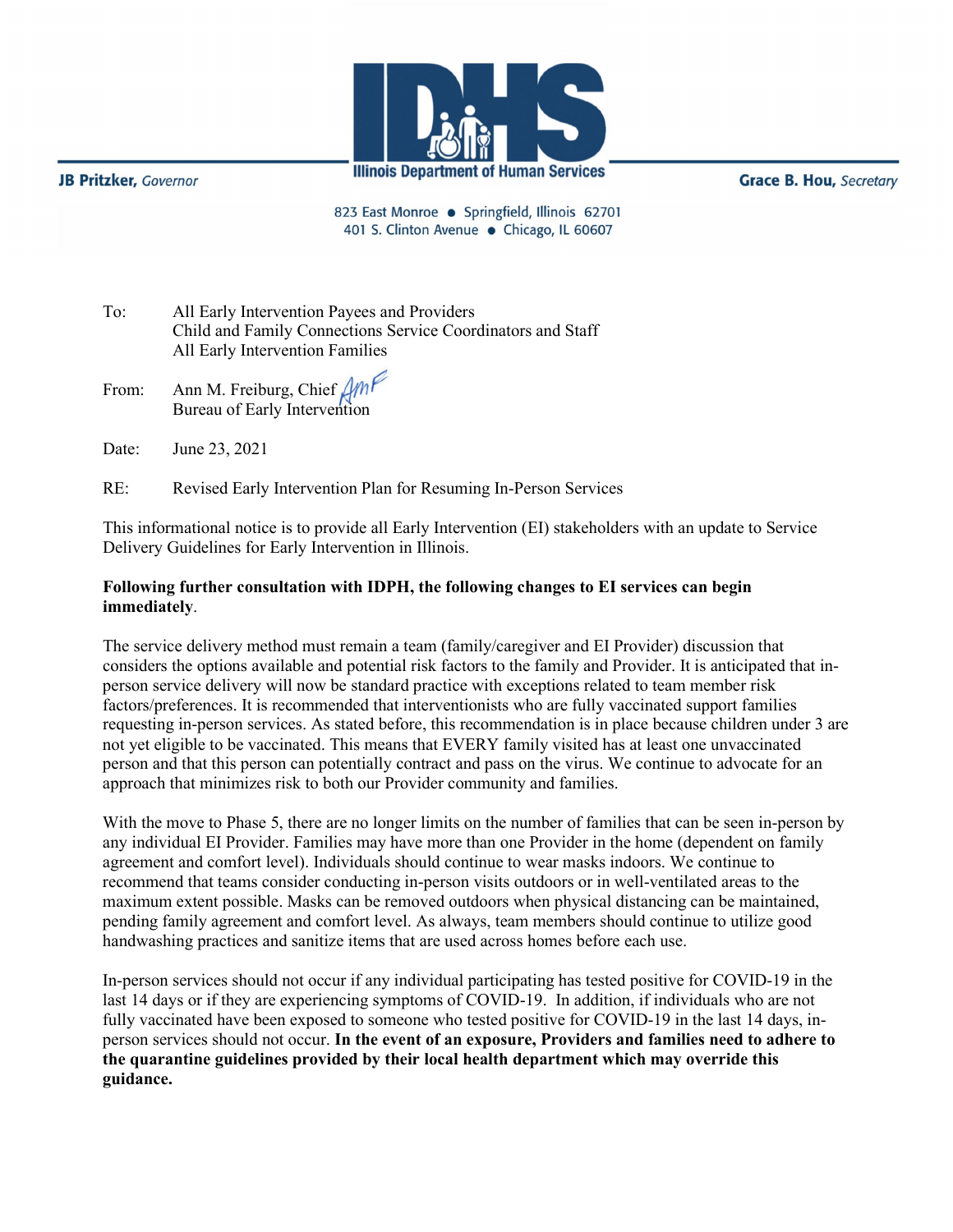

**JB Pritzker**, Governor

**Grace B. Hou, Secretary** 

823 East Monroe · Springfield, Illinois 62701 401 S. Clinton Avenue · Chicago, IL 60607

To: All Early Intervention Payees and Providers Child and Family Connections Service Coordinators and Staff All Early Intervention Families

- From: Ann M. Freiburg, Chief Bureau of Early Intervention
- Date: June 23, 2021

RE: Revised Early Intervention Plan for Resuming In-Person Services

This informational notice is to provide all Early Intervention (EI) stakeholders with an update to Service Delivery Guidelines for Early Intervention in Illinois.

## **Following further consultation with IDPH, the following changes to EI services can begin immediately**.

The service delivery method must remain a team (family/caregiver and EI Provider) discussion that considers the options available and potential risk factors to the family and Provider. It is anticipated that inperson service delivery will now be standard practice with exceptions related to team member risk factors/preferences. It is recommended that interventionists who are fully vaccinated support families requesting in-person services. As stated before, this recommendation is in place because children under 3 are not yet eligible to be vaccinated. This means that EVERY family visited has at least one unvaccinated person and that this person can potentially contract and pass on the virus. We continue to advocate for an approach that minimizes risk to both our Provider community and families.

With the move to Phase 5, there are no longer limits on the number of families that can be seen in-person by any individual EI Provider. Families may have more than one Provider in the home (dependent on family agreement and comfort level). Individuals should continue to wear masks indoors. We continue to recommend that teams consider conducting in-person visits outdoors or in well-ventilated areas to the maximum extent possible. Masks can be removed outdoors when physical distancing can be maintained, pending family agreement and comfort level. As always, team members should continue to utilize good handwashing practices and sanitize items that are used across homes before each use.

In-person services should not occur if any individual participating has tested positive for COVID-19 in the last 14 days or if they are experiencing symptoms of COVID-19. In addition, if individuals who are not fully vaccinated have been exposed to someone who tested positive for COVID-19 in the last 14 days, inperson services should not occur. **In the event of an exposure, Providers and families need to adhere to the quarantine guidelines provided by their local health department which may override this guidance.**